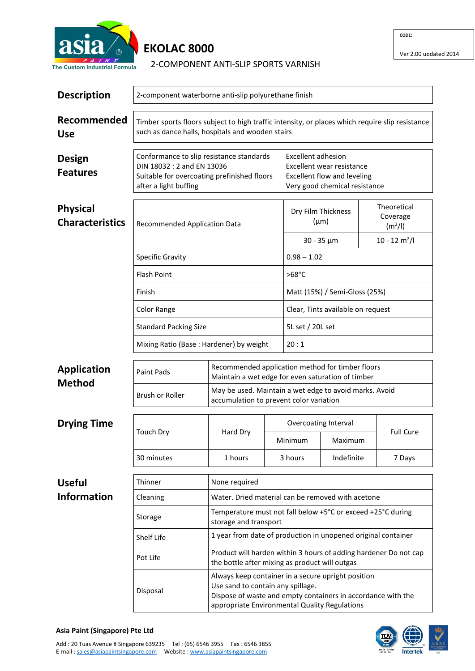

## **EKOLAC 8000**

2-COMPONENT ANTI-SLIP SPORTS VARNISH

| <b>Description</b>                        | 2-component waterborne anti-slip polyurethane finish                                                                                                |                                                                                                   |                                                   |                                                                                                                                                                                                                                                    |            |                                                |  |  |
|-------------------------------------------|-----------------------------------------------------------------------------------------------------------------------------------------------------|---------------------------------------------------------------------------------------------------|---------------------------------------------------|----------------------------------------------------------------------------------------------------------------------------------------------------------------------------------------------------------------------------------------------------|------------|------------------------------------------------|--|--|
| Recommended<br><b>Use</b>                 | Timber sports floors subject to high traffic intensity, or places which require slip resistance<br>such as dance halls, hospitals and wooden stairs |                                                                                                   |                                                   |                                                                                                                                                                                                                                                    |            |                                                |  |  |
| Design<br><b>Features</b>                 | Conformance to slip resistance standards<br>DIN 18032: 2 and EN 13036<br>Suitable for overcoating prefinished floors<br>after a light buffing       |                                                                                                   |                                                   | <b>Excellent adhesion</b><br>Excellent wear resistance<br>Excellent flow and leveling<br>Very good chemical resistance                                                                                                                             |            |                                                |  |  |
| <b>Physical</b><br><b>Characteristics</b> | Recommended Application Data                                                                                                                        |                                                                                                   |                                                   | Dry Film Thickness<br>$(\mu m)$                                                                                                                                                                                                                    |            | Theoretical<br>Coverage<br>(m <sup>2</sup> /I) |  |  |
|                                           |                                                                                                                                                     |                                                                                                   |                                                   | $30 - 35 \mu m$                                                                                                                                                                                                                                    |            | $10 - 12$ m <sup>2</sup> /l                    |  |  |
|                                           | <b>Specific Gravity</b>                                                                                                                             |                                                                                                   |                                                   | $0.98 - 1.02$                                                                                                                                                                                                                                      |            |                                                |  |  |
|                                           | <b>Flash Point</b>                                                                                                                                  |                                                                                                   |                                                   | $>68^{\circ}$ C                                                                                                                                                                                                                                    |            |                                                |  |  |
|                                           | Finish                                                                                                                                              |                                                                                                   |                                                   | Matt (15%) / Semi-Gloss (25%)                                                                                                                                                                                                                      |            |                                                |  |  |
|                                           | <b>Color Range</b>                                                                                                                                  |                                                                                                   |                                                   | Clear, Tints available on request                                                                                                                                                                                                                  |            |                                                |  |  |
|                                           | <b>Standard Packing Size</b>                                                                                                                        |                                                                                                   |                                                   | 5L set / 20L set                                                                                                                                                                                                                                   |            |                                                |  |  |
|                                           |                                                                                                                                                     | Mixing Ratio (Base: Hardener) by weight                                                           |                                                   |                                                                                                                                                                                                                                                    | 20:1       |                                                |  |  |
| <b>Application</b><br><b>Method</b>       | Recommended application method for timber floors<br>Paint Pads<br>Maintain a wet edge for even saturation of timber                                 |                                                                                                   |                                                   |                                                                                                                                                                                                                                                    |            |                                                |  |  |
|                                           | <b>Brush or Roller</b>                                                                                                                              | May be used. Maintain a wet edge to avoid marks. Avoid<br>accumulation to prevent color variation |                                                   |                                                                                                                                                                                                                                                    |            |                                                |  |  |
| <b>Drying Time</b>                        | <b>Touch Dry</b>                                                                                                                                    | Hard Dry                                                                                          |                                                   | Overcoating Interval                                                                                                                                                                                                                               |            |                                                |  |  |
|                                           |                                                                                                                                                     |                                                                                                   |                                                   | Minimum                                                                                                                                                                                                                                            | Maximum    | <b>Full Cure</b>                               |  |  |
|                                           | 30 minutes                                                                                                                                          | 1 hours                                                                                           |                                                   | 3 hours                                                                                                                                                                                                                                            | Indefinite | 7 Days                                         |  |  |
| <b>Useful</b>                             | Thinner                                                                                                                                             | None required                                                                                     |                                                   |                                                                                                                                                                                                                                                    |            |                                                |  |  |
| <b>Information</b>                        | Cleaning                                                                                                                                            |                                                                                                   | Water. Dried material can be removed with acetone |                                                                                                                                                                                                                                                    |            |                                                |  |  |
|                                           | Storage                                                                                                                                             | storage and transport                                                                             |                                                   | Temperature must not fall below +5°C or exceed +25°C during<br>1 year from date of production in unopened original container<br>Product will harden within 3 hours of adding hardener Do not cap<br>the bottle after mixing as product will outgas |            |                                                |  |  |
|                                           | Shelf Life                                                                                                                                          |                                                                                                   |                                                   |                                                                                                                                                                                                                                                    |            |                                                |  |  |
|                                           | Pot Life                                                                                                                                            |                                                                                                   |                                                   |                                                                                                                                                                                                                                                    |            |                                                |  |  |
|                                           | Disposal                                                                                                                                            | Use sand to contain any spillage.                                                                 |                                                   | Always keep container in a secure upright position<br>Dispose of waste and empty containers in accordance with the<br>appropriate Environmental Quality Regulations                                                                                |            |                                                |  |  |



**CODE:**

Ver 2.00 updated 2014